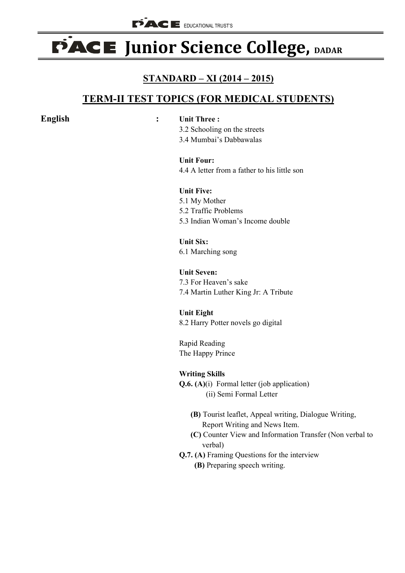# **PACE Junior Science College, DADAR**

## **STANDARD – XI (2014 – 2015)**

# **TERM-II TEST TOPICS (FOR MEDICAL STUDENTS)**

#### **English : Unit Three :**

3.2 Schooling on the streets 3.4 Mumbai's Dabbawalas

**Unit Four:** 4.4 A letter from a father to his little son

#### **Unit Five:** 5.1 My Mother 5.2 Traffic Problems 5.3 Indian Woman's Income double

**Unit Six:** 6.1 Marching song

**Unit Seven:** 7.3 For Heaven's sake 7.4 Martin Luther King Jr: A Tribute

**Unit Eight** 8.2 Harry Potter novels go digital

Rapid Reading The Happy Prince

### **Writing Skills**

- **Q.6. (A)**(i) Formal letter (job application) (ii) Semi Formal Letter
	- **(B)** Tourist leaflet, Appeal writing, Dialogue Writing, Report Writing and News Item.
	- **(C)** Counter View and Information Transfer (Non verbal to verbal)
- **Q.7. (A)** Framing Questions for the interview
	- **(B)** Preparing speech writing.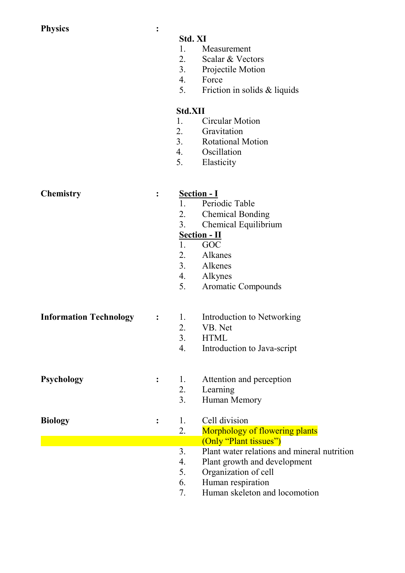| <b>Physics</b>                | :              |                |                                             |
|-------------------------------|----------------|----------------|---------------------------------------------|
|                               |                | Std. XI        |                                             |
|                               |                | 1.             | Measurement                                 |
|                               |                | 2.             |                                             |
|                               |                |                | Scalar & Vectors                            |
|                               |                | 3.             | <b>Projectile Motion</b>                    |
|                               |                | 4.             | Force                                       |
|                               |                | 5.             | Friction in solids & liquids                |
|                               |                | <b>Std.XII</b> |                                             |
|                               |                | 1.             | <b>Circular Motion</b>                      |
|                               |                | 2.             | Gravitation                                 |
|                               |                |                | 3. Rotational Motion                        |
|                               |                | 4.             | Oscillation                                 |
|                               |                | 5.             | Elasticity                                  |
|                               |                |                |                                             |
| <b>Chemistry</b>              |                |                |                                             |
|                               | $\ddot{\cdot}$ |                | <b>Section - I</b>                          |
|                               |                | 1.             | Periodic Table                              |
|                               |                | 2.             | <b>Chemical Bonding</b>                     |
|                               |                | 3.             | Chemical Equilibrium                        |
|                               |                |                | <b>Section - II</b>                         |
|                               |                | 1.             | GOC                                         |
|                               |                | 2.             | Alkanes                                     |
|                               |                | 3.             | Alkenes                                     |
|                               |                | 4.             | Alkynes                                     |
|                               |                |                |                                             |
|                               |                | 5.             | Aromatic Compounds                          |
| <b>Information Technology</b> |                | 1.             | Introduction to Networking                  |
|                               | :              |                |                                             |
|                               |                | 2.             | VB. Net                                     |
|                               |                | 3.             | <b>HTML</b>                                 |
|                               |                | 4.             | Introduction to Java-script                 |
|                               |                |                |                                             |
| Psychology                    |                | 1.             | Attention and perception                    |
|                               |                | 2.             | Learning                                    |
|                               |                | 3 <sub>1</sub> | Human Memory                                |
| <b>Biology</b>                | $\ddot{\cdot}$ | 1.             | Cell division                               |
|                               |                | 2.             | <b>Morphology of flowering plants</b>       |
|                               |                |                | (Only "Plant tissues")                      |
|                               |                | 3 <sub>1</sub> | Plant water relations and mineral nutrition |
|                               |                | 4.             | Plant growth and development                |
|                               |                | 5.             | Organization of cell                        |
|                               |                | 6.             | Human respiration                           |
|                               |                | 7.             | Human skeleton and locomotion               |
|                               |                |                |                                             |